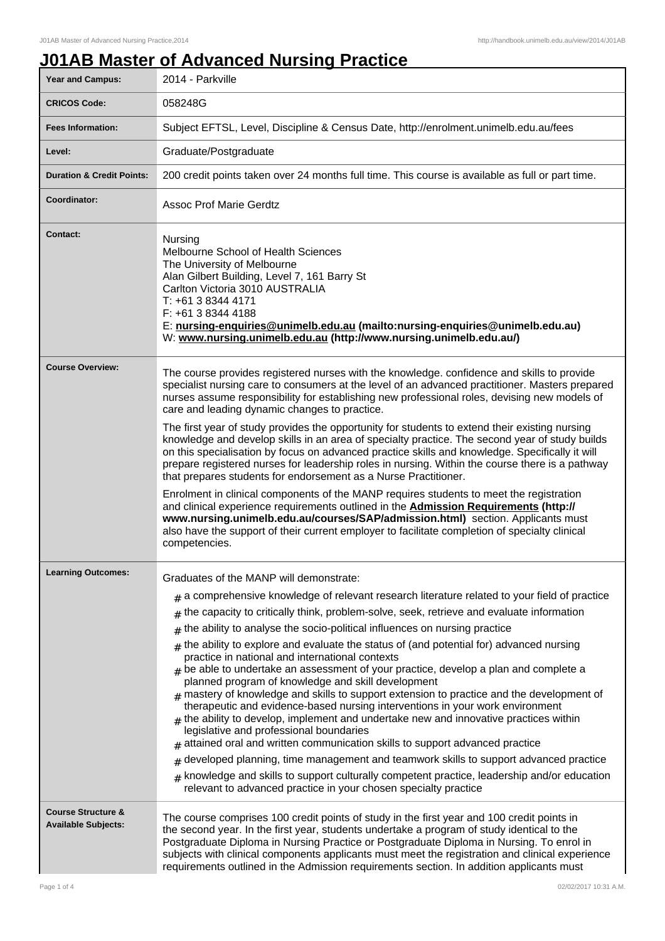## **J01AB Master of Advanced Nursing Practice**

| Year and Campus:                                            | 2014 - Parkville                                                                                                                                                                                                                                                                                                                                                                                                                                                                                                                                                                                                                                                                                                                                                                                                                                                                                                                                                                                                                                                                                                                                                                                                                                                                                                          |
|-------------------------------------------------------------|---------------------------------------------------------------------------------------------------------------------------------------------------------------------------------------------------------------------------------------------------------------------------------------------------------------------------------------------------------------------------------------------------------------------------------------------------------------------------------------------------------------------------------------------------------------------------------------------------------------------------------------------------------------------------------------------------------------------------------------------------------------------------------------------------------------------------------------------------------------------------------------------------------------------------------------------------------------------------------------------------------------------------------------------------------------------------------------------------------------------------------------------------------------------------------------------------------------------------------------------------------------------------------------------------------------------------|
| <b>CRICOS Code:</b>                                         | 058248G                                                                                                                                                                                                                                                                                                                                                                                                                                                                                                                                                                                                                                                                                                                                                                                                                                                                                                                                                                                                                                                                                                                                                                                                                                                                                                                   |
| <b>Fees Information:</b>                                    | Subject EFTSL, Level, Discipline & Census Date, http://enrolment.unimelb.edu.au/fees                                                                                                                                                                                                                                                                                                                                                                                                                                                                                                                                                                                                                                                                                                                                                                                                                                                                                                                                                                                                                                                                                                                                                                                                                                      |
| Level:                                                      | Graduate/Postgraduate                                                                                                                                                                                                                                                                                                                                                                                                                                                                                                                                                                                                                                                                                                                                                                                                                                                                                                                                                                                                                                                                                                                                                                                                                                                                                                     |
| <b>Duration &amp; Credit Points:</b>                        | 200 credit points taken over 24 months full time. This course is available as full or part time.                                                                                                                                                                                                                                                                                                                                                                                                                                                                                                                                                                                                                                                                                                                                                                                                                                                                                                                                                                                                                                                                                                                                                                                                                          |
| Coordinator:                                                | <b>Assoc Prof Marie Gerdtz</b>                                                                                                                                                                                                                                                                                                                                                                                                                                                                                                                                                                                                                                                                                                                                                                                                                                                                                                                                                                                                                                                                                                                                                                                                                                                                                            |
| Contact:                                                    | Nursing<br>Melbourne School of Health Sciences<br>The University of Melbourne<br>Alan Gilbert Building, Level 7, 161 Barry St<br>Carlton Victoria 3010 AUSTRALIA<br>T: +61 3 8344 4171<br>F: +61 3 8344 4188<br>E: nursing-enquiries@unimelb.edu.au (mailto:nursing-enquiries@unimelb.edu.au)<br>W: www.nursing.unimelb.edu.au (http://www.nursing.unimelb.edu.au/)                                                                                                                                                                                                                                                                                                                                                                                                                                                                                                                                                                                                                                                                                                                                                                                                                                                                                                                                                       |
| <b>Course Overview:</b>                                     | The course provides registered nurses with the knowledge. confidence and skills to provide<br>specialist nursing care to consumers at the level of an advanced practitioner. Masters prepared<br>nurses assume responsibility for establishing new professional roles, devising new models of<br>care and leading dynamic changes to practice.<br>The first year of study provides the opportunity for students to extend their existing nursing<br>knowledge and develop skills in an area of specialty practice. The second year of study builds<br>on this specialisation by focus on advanced practice skills and knowledge. Specifically it will<br>prepare registered nurses for leadership roles in nursing. Within the course there is a pathway<br>that prepares students for endorsement as a Nurse Practitioner.<br>Enrolment in clinical components of the MANP requires students to meet the registration<br>and clinical experience requirements outlined in the Admission Requirements (http://<br>www.nursing.unimelb.edu.au/courses/SAP/admission.html) section. Applicants must<br>also have the support of their current employer to facilitate completion of specialty clinical<br>competencies.                                                                                                      |
| <b>Learning Outcomes:</b>                                   | Graduates of the MANP will demonstrate:<br>$_{\text{\#}}$ a comprehensive knowledge of relevant research literature related to your field of practice<br>$#$ the capacity to critically think, problem-solve, seek, retrieve and evaluate information<br>$#$ the ability to analyse the socio-political influences on nursing practice<br>$#$ the ability to explore and evaluate the status of (and potential for) advanced nursing<br>practice in national and international contexts<br>$#$ be able to undertake an assessment of your practice, develop a plan and complete a<br>planned program of knowledge and skill development<br>$_{\#}$ mastery of knowledge and skills to support extension to practice and the development of<br>therapeutic and evidence-based nursing interventions in your work environment<br>$#$ the ability to develop, implement and undertake new and innovative practices within<br>legislative and professional boundaries<br>$#$ attained oral and written communication skills to support advanced practice<br>$_{\#}$ developed planning, time management and teamwork skills to support advanced practice<br>$#$ knowledge and skills to support culturally competent practice, leadership and/or education<br>relevant to advanced practice in your chosen specialty practice |
| <b>Course Structure &amp;</b><br><b>Available Subjects:</b> | The course comprises 100 credit points of study in the first year and 100 credit points in<br>the second year. In the first year, students undertake a program of study identical to the<br>Postgraduate Diploma in Nursing Practice or Postgraduate Diploma in Nursing. To enrol in<br>subjects with clinical components applicants must meet the registration and clinical experience<br>requirements outlined in the Admission requirements section. In addition applicants must                                                                                                                                                                                                                                                                                                                                                                                                                                                                                                                                                                                                                                                                                                                                                                                                                                       |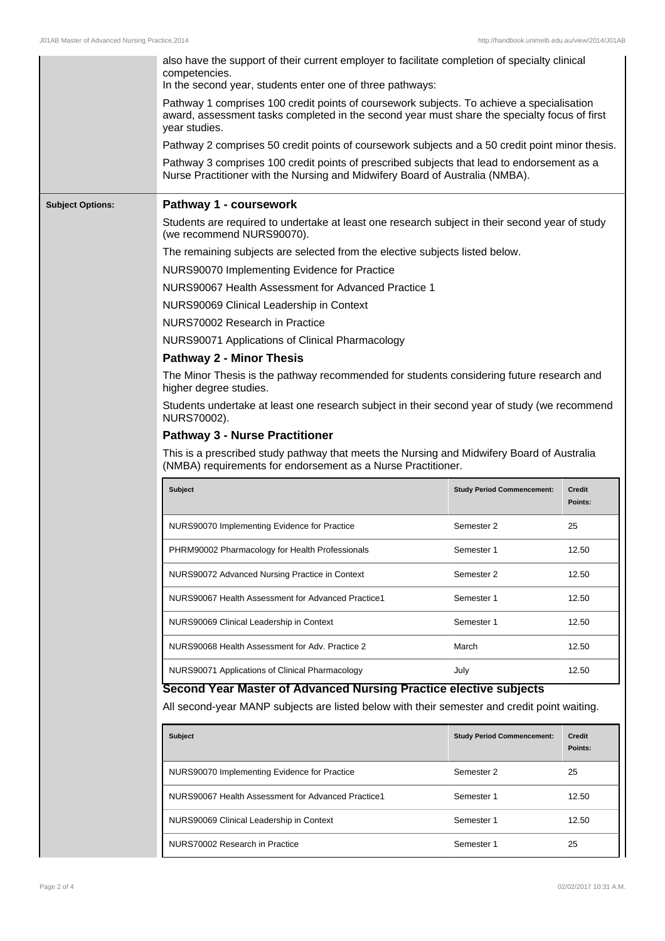|                         | also have the support of their current employer to facilitate completion of specialty clinical<br>competencies.<br>In the second year, students enter one of three pathways:                               |                                   |                          |  |  |
|-------------------------|------------------------------------------------------------------------------------------------------------------------------------------------------------------------------------------------------------|-----------------------------------|--------------------------|--|--|
|                         | Pathway 1 comprises 100 credit points of coursework subjects. To achieve a specialisation<br>award, assessment tasks completed in the second year must share the specialty focus of first<br>year studies. |                                   |                          |  |  |
|                         | Pathway 2 comprises 50 credit points of coursework subjects and a 50 credit point minor thesis.                                                                                                            |                                   |                          |  |  |
|                         | Pathway 3 comprises 100 credit points of prescribed subjects that lead to endorsement as a<br>Nurse Practitioner with the Nursing and Midwifery Board of Australia (NMBA).                                 |                                   |                          |  |  |
| <b>Subject Options:</b> | Pathway 1 - coursework                                                                                                                                                                                     |                                   |                          |  |  |
|                         | Students are required to undertake at least one research subject in their second year of study<br>(we recommend NURS90070).                                                                                |                                   |                          |  |  |
|                         | The remaining subjects are selected from the elective subjects listed below.                                                                                                                               |                                   |                          |  |  |
|                         | NURS90070 Implementing Evidence for Practice                                                                                                                                                               |                                   |                          |  |  |
|                         | NURS90067 Health Assessment for Advanced Practice 1                                                                                                                                                        |                                   |                          |  |  |
|                         | NURS90069 Clinical Leadership in Context                                                                                                                                                                   |                                   |                          |  |  |
|                         | NURS70002 Research in Practice                                                                                                                                                                             |                                   |                          |  |  |
|                         | NURS90071 Applications of Clinical Pharmacology                                                                                                                                                            |                                   |                          |  |  |
|                         | <b>Pathway 2 - Minor Thesis</b>                                                                                                                                                                            |                                   |                          |  |  |
|                         | The Minor Thesis is the pathway recommended for students considering future research and<br>higher degree studies.                                                                                         |                                   |                          |  |  |
|                         | Students undertake at least one research subject in their second year of study (we recommend<br>NURS70002).                                                                                                |                                   |                          |  |  |
|                         | <b>Pathway 3 - Nurse Practitioner</b>                                                                                                                                                                      |                                   |                          |  |  |
|                         | This is a prescribed study pathway that meets the Nursing and Midwifery Board of Australia<br>(NMBA) requirements for endorsement as a Nurse Practitioner.                                                 |                                   |                          |  |  |
|                         | Subject                                                                                                                                                                                                    | <b>Study Period Commencement:</b> | <b>Credit</b><br>Points: |  |  |
|                         | NURS90070 Implementing Evidence for Practice                                                                                                                                                               | Semester 2                        | 25                       |  |  |
|                         | PHRM90002 Pharmacology for Health Professionals                                                                                                                                                            | Semester 1                        | 12.50                    |  |  |
|                         | NURS90072 Advanced Nursing Practice in Context                                                                                                                                                             | Semester 2                        | 12.50                    |  |  |
|                         | NURS90067 Health Assessment for Advanced Practice1                                                                                                                                                         | Semester 1                        | 12.50                    |  |  |
|                         | NURS90069 Clinical Leadership in Context                                                                                                                                                                   | Semester 1                        | 12.50                    |  |  |
|                         | NURS90068 Health Assessment for Adv. Practice 2                                                                                                                                                            | March                             | 12.50                    |  |  |
|                         | NURS90071 Applications of Clinical Pharmacology                                                                                                                                                            | July                              | 12.50                    |  |  |
|                         | Second Year Master of Advanced Nursing Practice elective subjects                                                                                                                                          |                                   |                          |  |  |
|                         | All second-year MANP subjects are listed below with their semester and credit point waiting.                                                                                                               |                                   |                          |  |  |
|                         | Subject                                                                                                                                                                                                    | <b>Study Period Commencement:</b> | <b>Credit</b><br>Points: |  |  |
|                         | NURS90070 Implementing Evidence for Practice                                                                                                                                                               | Semester 2                        | 25                       |  |  |
|                         | NURS90067 Health Assessment for Advanced Practice1                                                                                                                                                         | Semester 1                        | 12.50                    |  |  |
|                         | NURS90069 Clinical Leadership in Context                                                                                                                                                                   | Semester 1                        | 12.50                    |  |  |

NURS70002 Research in Practice Semester 1 25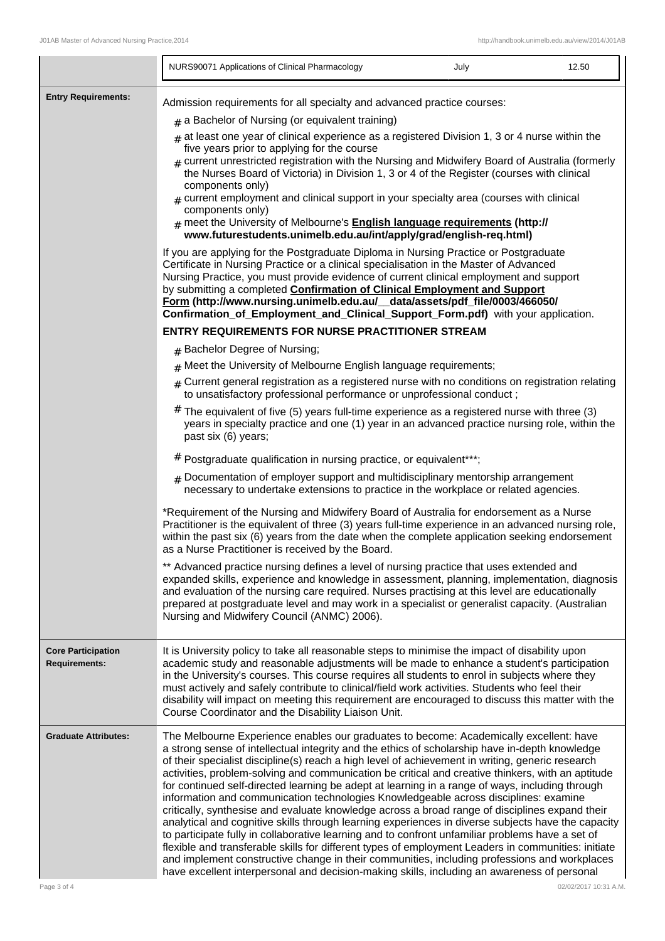|                                                   | NURS90071 Applications of Clinical Pharmacology                                                                                                                                                                                                                                                                                                                                                                                                                                                                                                                                                                                                                                                                                                                                                                                                                                                                                                                                                                                                                                                                                                                                                                | July | 12.50                 |  |
|---------------------------------------------------|----------------------------------------------------------------------------------------------------------------------------------------------------------------------------------------------------------------------------------------------------------------------------------------------------------------------------------------------------------------------------------------------------------------------------------------------------------------------------------------------------------------------------------------------------------------------------------------------------------------------------------------------------------------------------------------------------------------------------------------------------------------------------------------------------------------------------------------------------------------------------------------------------------------------------------------------------------------------------------------------------------------------------------------------------------------------------------------------------------------------------------------------------------------------------------------------------------------|------|-----------------------|--|
| <b>Entry Requirements:</b>                        | Admission requirements for all specialty and advanced practice courses:                                                                                                                                                                                                                                                                                                                                                                                                                                                                                                                                                                                                                                                                                                                                                                                                                                                                                                                                                                                                                                                                                                                                        |      |                       |  |
|                                                   | $_{\text{\#}}$ a Bachelor of Nursing (or equivalent training)<br>$*$ at least one year of clinical experience as a registered Division 1, 3 or 4 nurse within the<br>five years prior to applying for the course<br>$_{\text{\#}}$ current unrestricted registration with the Nursing and Midwifery Board of Australia (formerly<br>the Nurses Board of Victoria) in Division 1, 3 or 4 of the Register (courses with clinical<br>components only)<br>$_{\#}$ current employment and clinical support in your specialty area (courses with clinical<br>components only)<br># meet the University of Melbourne's <b>English language requirements (http://</b><br>www.futurestudents.unimelb.edu.au/int/apply/grad/english-req.html)                                                                                                                                                                                                                                                                                                                                                                                                                                                                            |      |                       |  |
|                                                   |                                                                                                                                                                                                                                                                                                                                                                                                                                                                                                                                                                                                                                                                                                                                                                                                                                                                                                                                                                                                                                                                                                                                                                                                                |      |                       |  |
|                                                   | If you are applying for the Postgraduate Diploma in Nursing Practice or Postgraduate<br>Certificate in Nursing Practice or a clinical specialisation in the Master of Advanced<br>Nursing Practice, you must provide evidence of current clinical employment and support<br>by submitting a completed Confirmation of Clinical Employment and Support<br>Form (http://www.nursing.unimelb.edu.au/_data/assets/pdf_file/0003/466050/<br>Confirmation of Employment and Clinical Support Form.pdf) with your application.                                                                                                                                                                                                                                                                                                                                                                                                                                                                                                                                                                                                                                                                                        |      |                       |  |
|                                                   | <b>ENTRY REQUIREMENTS FOR NURSE PRACTITIONER STREAM</b>                                                                                                                                                                                                                                                                                                                                                                                                                                                                                                                                                                                                                                                                                                                                                                                                                                                                                                                                                                                                                                                                                                                                                        |      |                       |  |
|                                                   | # Bachelor Degree of Nursing;                                                                                                                                                                                                                                                                                                                                                                                                                                                                                                                                                                                                                                                                                                                                                                                                                                                                                                                                                                                                                                                                                                                                                                                  |      |                       |  |
|                                                   | Meet the University of Melbourne English language requirements;<br>#                                                                                                                                                                                                                                                                                                                                                                                                                                                                                                                                                                                                                                                                                                                                                                                                                                                                                                                                                                                                                                                                                                                                           |      |                       |  |
|                                                   | Current general registration as a registered nurse with no conditions on registration relating<br>#<br>to unsatisfactory professional performance or unprofessional conduct;                                                                                                                                                                                                                                                                                                                                                                                                                                                                                                                                                                                                                                                                                                                                                                                                                                                                                                                                                                                                                                   |      |                       |  |
|                                                   | #<br>The equivalent of five (5) years full-time experience as a registered nurse with three (3)<br>years in specialty practice and one (1) year in an advanced practice nursing role, within the<br>past six (6) years;                                                                                                                                                                                                                                                                                                                                                                                                                                                                                                                                                                                                                                                                                                                                                                                                                                                                                                                                                                                        |      |                       |  |
|                                                   | # Postgraduate qualification in nursing practice, or equivalent***;                                                                                                                                                                                                                                                                                                                                                                                                                                                                                                                                                                                                                                                                                                                                                                                                                                                                                                                                                                                                                                                                                                                                            |      |                       |  |
|                                                   | Documentation of employer support and multidisciplinary mentorship arrangement<br>#<br>necessary to undertake extensions to practice in the workplace or related agencies.                                                                                                                                                                                                                                                                                                                                                                                                                                                                                                                                                                                                                                                                                                                                                                                                                                                                                                                                                                                                                                     |      |                       |  |
|                                                   | *Requirement of the Nursing and Midwifery Board of Australia for endorsement as a Nurse<br>Practitioner is the equivalent of three (3) years full-time experience in an advanced nursing role,<br>within the past six (6) years from the date when the complete application seeking endorsement<br>as a Nurse Practitioner is received by the Board.                                                                                                                                                                                                                                                                                                                                                                                                                                                                                                                                                                                                                                                                                                                                                                                                                                                           |      |                       |  |
|                                                   | ** Advanced practice nursing defines a level of nursing practice that uses extended and<br>expanded skills, experience and knowledge in assessment, planning, implementation, diagnosis<br>and evaluation of the nursing care required. Nurses practising at this level are educationally<br>prepared at postgraduate level and may work in a specialist or generalist capacity. (Australian<br>Nursing and Midwifery Council (ANMC) 2006).                                                                                                                                                                                                                                                                                                                                                                                                                                                                                                                                                                                                                                                                                                                                                                    |      |                       |  |
| <b>Core Participation</b><br><b>Requirements:</b> | It is University policy to take all reasonable steps to minimise the impact of disability upon<br>academic study and reasonable adjustments will be made to enhance a student's participation<br>in the University's courses. This course requires all students to enrol in subjects where they<br>must actively and safely contribute to clinical/field work activities. Students who feel their<br>disability will impact on meeting this requirement are encouraged to discuss this matter with the<br>Course Coordinator and the Disability Liaison Unit.                                                                                                                                                                                                                                                                                                                                                                                                                                                                                                                                                                                                                                                  |      |                       |  |
| <b>Graduate Attributes:</b><br>Page 3 of 4        | The Melbourne Experience enables our graduates to become: Academically excellent: have<br>a strong sense of intellectual integrity and the ethics of scholarship have in-depth knowledge<br>of their specialist discipline(s) reach a high level of achievement in writing, generic research<br>activities, problem-solving and communication be critical and creative thinkers, with an aptitude<br>for continued self-directed learning be adept at learning in a range of ways, including through<br>information and communication technologies Knowledgeable across disciplines: examine<br>critically, synthesise and evaluate knowledge across a broad range of disciplines expand their<br>analytical and cognitive skills through learning experiences in diverse subjects have the capacity<br>to participate fully in collaborative learning and to confront unfamiliar problems have a set of<br>flexible and transferable skills for different types of employment Leaders in communities: initiate<br>and implement constructive change in their communities, including professions and workplaces<br>have excellent interpersonal and decision-making skills, including an awareness of personal |      | 02/02/2017 10:31 A.M. |  |